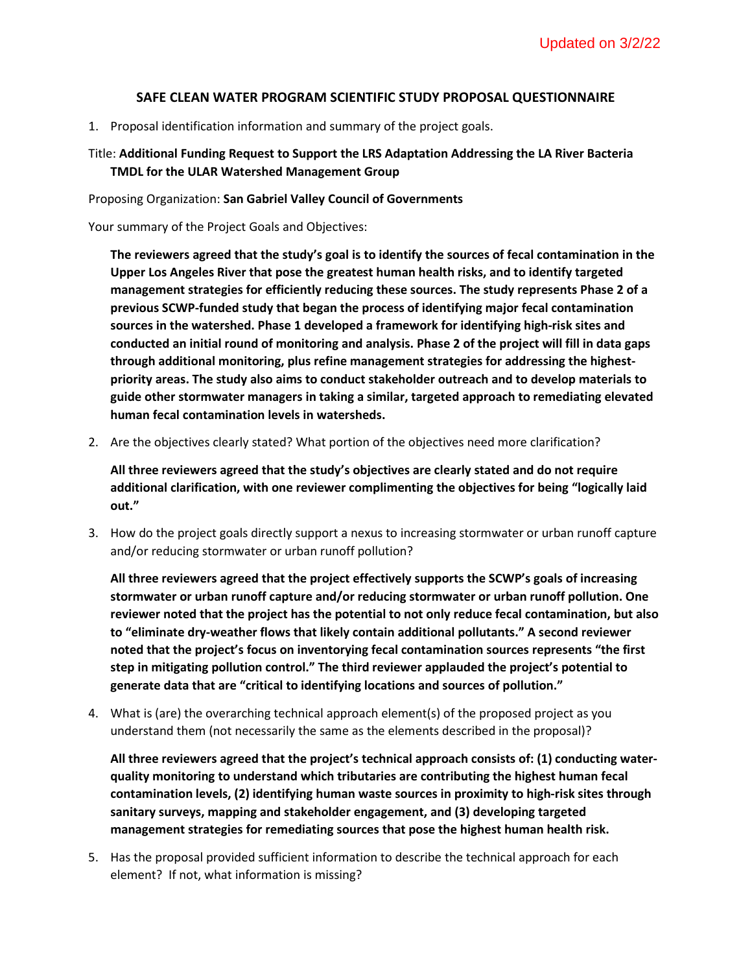## **SAFE CLEAN WATER PROGRAM SCIENTIFIC STUDY PROPOSAL QUESTIONNAIRE**

1. Proposal identification information and summary of the project goals.

## Title: **Additional Funding Request to Support the LRS Adaptation Addressing the LA River Bacteria TMDL for the ULAR Watershed Management Group**

Proposing Organization: **San Gabriel Valley Council of Governments**

Your summary of the Project Goals and Objectives:

**The reviewers agreed that the study's goal is to identify the sources of fecal contamination in the Upper Los Angeles River that pose the greatest human health risks, and to identify targeted management strategies for efficiently reducing these sources. The study represents Phase 2 of a previous SCWP-funded study that began the process of identifying major fecal contamination sources in the watershed. Phase 1 developed a framework for identifying high-risk sites and conducted an initial round of monitoring and analysis. Phase 2 of the project will fill in data gaps through additional monitoring, plus refine management strategies for addressing the highestpriority areas. The study also aims to conduct stakeholder outreach and to develop materials to guide other stormwater managers in taking a similar, targeted approach to remediating elevated human fecal contamination levels in watersheds.**

2. Are the objectives clearly stated? What portion of the objectives need more clarification?

**All three reviewers agreed that the study's objectives are clearly stated and do not require additional clarification, with one reviewer complimenting the objectives for being "logically laid out."**

3. How do the project goals directly support a nexus to increasing stormwater or urban runoff capture and/or reducing stormwater or urban runoff pollution?

**All three reviewers agreed that the project effectively supports the SCWP's goals of increasing stormwater or urban runoff capture and/or reducing stormwater or urban runoff pollution. One reviewer noted that the project has the potential to not only reduce fecal contamination, but also to "eliminate dry-weather flows that likely contain additional pollutants." A second reviewer noted that the project's focus on inventorying fecal contamination sources represents "the first step in mitigating pollution control." The third reviewer applauded the project's potential to generate data that are "critical to identifying locations and sources of pollution."**

4. What is (are) the overarching technical approach element(s) of the proposed project as you understand them (not necessarily the same as the elements described in the proposal)?

**All three reviewers agreed that the project's technical approach consists of: (1) conducting waterquality monitoring to understand which tributaries are contributing the highest human fecal contamination levels, (2) identifying human waste sources in proximity to high-risk sites through sanitary surveys, mapping and stakeholder engagement, and (3) developing targeted management strategies for remediating sources that pose the highest human health risk.**

5. Has the proposal provided sufficient information to describe the technical approach for each element? If not, what information is missing?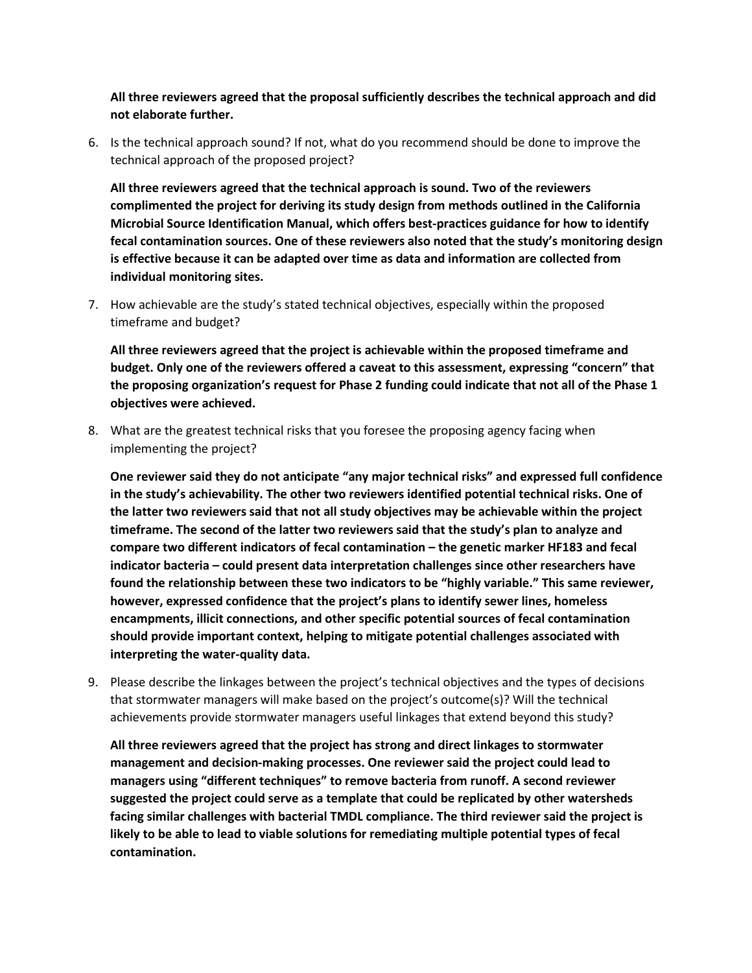**All three reviewers agreed that the proposal sufficiently describes the technical approach and did not elaborate further.** 

6. Is the technical approach sound? If not, what do you recommend should be done to improve the technical approach of the proposed project?

**All three reviewers agreed that the technical approach is sound. Two of the reviewers complimented the project for deriving its study design from methods outlined in the California Microbial Source Identification Manual, which offers best-practices guidance for how to identify fecal contamination sources. One of these reviewers also noted that the study's monitoring design is effective because it can be adapted over time as data and information are collected from individual monitoring sites.**

7. How achievable are the study's stated technical objectives, especially within the proposed timeframe and budget?

**All three reviewers agreed that the project is achievable within the proposed timeframe and budget. Only one of the reviewers offered a caveat to this assessment, expressing "concern" that the proposing organization's request for Phase 2 funding could indicate that not all of the Phase 1 objectives were achieved.**

8. What are the greatest technical risks that you foresee the proposing agency facing when implementing the project?

**One reviewer said they do not anticipate "any major technical risks" and expressed full confidence in the study's achievability. The other two reviewers identified potential technical risks. One of the latter two reviewers said that not all study objectives may be achievable within the project timeframe. The second of the latter two reviewers said that the study's plan to analyze and compare two different indicators of fecal contamination – the genetic marker HF183 and fecal indicator bacteria – could present data interpretation challenges since other researchers have found the relationship between these two indicators to be "highly variable." This same reviewer, however, expressed confidence that the project's plans to identify sewer lines, homeless encampments, illicit connections, and other specific potential sources of fecal contamination should provide important context, helping to mitigate potential challenges associated with interpreting the water-quality data.**

9. Please describe the linkages between the project's technical objectives and the types of decisions that stormwater managers will make based on the project's outcome(s)? Will the technical achievements provide stormwater managers useful linkages that extend beyond this study?

**All three reviewers agreed that the project has strong and direct linkages to stormwater management and decision-making processes. One reviewer said the project could lead to managers using "different techniques" to remove bacteria from runoff. A second reviewer suggested the project could serve as a template that could be replicated by other watersheds facing similar challenges with bacterial TMDL compliance. The third reviewer said the project is likely to be able to lead to viable solutions for remediating multiple potential types of fecal contamination.**